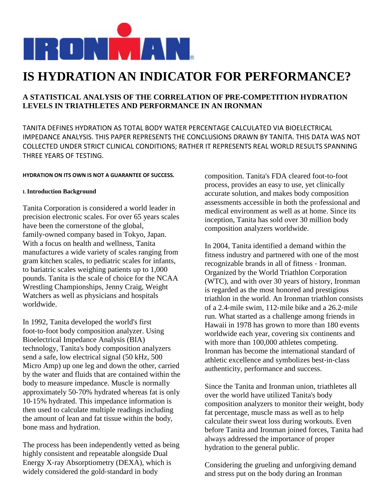

# **IS HYDRATION AN INDICATOR FOR PERFORMANCE?**

## **A STATISTICAL ANALYSIS OF THE CORRELATION OF PRE**‐**COMPETITION HYDRATION LEVELS IN TRIATHLETES AND PERFORMANCE IN AN IRONMAN**

TANITA DEFINES HYDRATION AS TOTAL BODY WATER PERCENTAGE CALCULATED VIA BIOELECTRICAL IMPEDANCE ANALYSIS. THIS PAPER REPRESENTS THE CONCLUSIONS DRAWN BY TANITA. THIS DATA WAS NOT COLLECTED UNDER STRICT CLINICAL CONDITIONS; RATHER IT REPRESENTS REAL WORLD RESULTS SPANNING THREE YEARS OF TESTING.

## **HYDRATION ON ITS OWN IS NOT A GUARANTEE OF SUCCESS.**

## **I. Introduction Background**

Tanita Corporation is considered a world leader in precision electronic scales. For over 65 years scales have been the cornerstone of the global, family‐owned company based in Tokyo, Japan. With a focus on health and wellness, Tanita manufactures a wide variety of scales ranging from gram kitchen scales, to pediatric scales for infants, to bariatric scales weighing patients up to 1,000 pounds. Tanita is the scale of choice for the NCAA Wrestling Championships, Jenny Craig, Weight Watchers as well as physicians and hospitals worldwide.

In 1992, Tanita developed the world's first foot‐to‐foot body composition analyzer. Using Bioelectrical Impedance Analysis (BIA) technology, Tanita's body composition analyzers send a safe, low electrical signal (50 kHz, 500 Micro Amp) up one leg and down the other, carried by the water and fluids that are contained within the body to measure impedance. Muscle is normally approximately 50‐70% hydrated whereas fat is only 10‐15% hydrated. This impedance information is then used to calculate multiple readings including the amount of lean and fat tissue within the body, bone mass and hydration.

The process has been independently vetted as being highly consistent and repeatable alongside Dual Energy X‐ray Absorptiometry (DEXA), which is widely considered the gold‐standard in body

composition. Tanita's FDA cleared foot‐to‐foot process, provides an easy to use, yet clinically accurate solution, and makes body composition assessments accessible in both the professional and medical environment as well as at home. Since its inception, Tanita has sold over 30 million body composition analyzers worldwide.

In 2004, Tanita identified a demand within the fitness industry and partnered with one of the most recognizable brands in all of fitness ‐ Ironman. Organized by the World Triathlon Corporation (WTC), and with over 30 years of history, Ironman is regarded as the most honored and prestigious triathlon in the world. An Ironman triathlon consists of a 2.4‐mile swim, 112‐mile bike and a 26.2‐mile run. What started as a challenge among friends in Hawaii in 1978 has grown to more than 180 events worldwide each year, covering six continents and with more than 100,000 athletes competing. Ironman has become the international standard of athletic excellence and symbolizes best‐in‐class authenticity, performance and success.

Since the Tanita and Ironman union, triathletes all over the world have utilized Tanita's body composition analyzers to monitor their weight, body fat percentage, muscle mass as well as to help calculate their sweat loss during workouts. Even before Tanita and Ironman joined forces, Tanita had always addressed the importance of proper hydration to the general public.

Considering the grueling and unforgiving demand and stress put on the body during an Ironman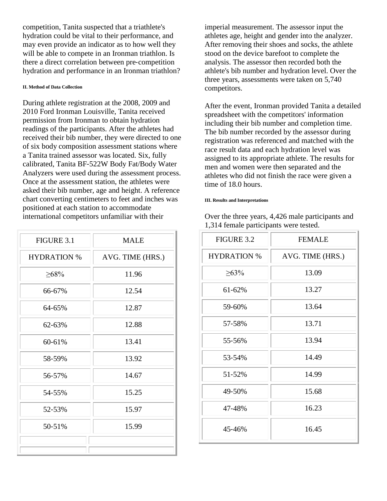competition, Tanita suspected that a triathlete's hydration could be vital to their performance, and may even provide an indicator as to how well they will be able to compete in an Ironman triathlon. Is there a direct correlation between pre‐competition hydration and performance in an Ironman triathlon?

#### **II. Method of Data Collection**

During athlete registration at the 2008, 2009 and 2010 Ford Ironman Louisville, Tanita received permission from Ironman to obtain hydration readings of the participants. After the athletes had received their bib number, they were directed to one of six body composition assessment stations where a Tanita trained assessor was located. Six, fully calibrated, Tanita BF‐522W Body Fat/Body Water Analyzers were used during the assessment process. Once at the assessment station, the athletes were asked their bib number, age and height. A reference chart converting centimeters to feet and inches was positioned at each station to accommodate international competitors unfamiliar with their

| FIGURE 3.1         | <b>MALE</b>      |
|--------------------|------------------|
| <b>HYDRATION %</b> | AVG. TIME (HRS.) |
| $\geq 68\%$        | 11.96            |
| 66-67%             | 12.54            |
| 64-65%             | 12.87            |
| 62-63%             | 12.88            |
| 60-61%             | 13.41            |
| 58-59%             | 13.92            |
| 56-57%             | 14.67            |
| 54-55%             | 15.25            |
| 52-53%             | 15.97            |
| 50-51%             | 15.99            |
|                    |                  |

imperial measurement. The assessor input the athletes age, height and gender into the analyzer. After removing their shoes and socks, the athlete stood on the device barefoot to complete the analysis. The assessor then recorded both the athlete's bib number and hydration level. Over the three years, assessments were taken on 5,740 competitors.

After the event, Ironman provided Tanita a detailed spreadsheet with the competitors' information including their bib number and completion time. The bib number recorded by the assessor during registration was referenced and matched with the race result data and each hydration level was assigned to its appropriate athlete. The results for men and women were then separated and the athletes who did not finish the race were given a time of 18.0 hours.

#### **III. Results and Interpretations**

Over the three years, 4,426 male participants and 1,314 female participants were tested.

| FIGURE 3.2         | <b>FEMALE</b>    |
|--------------------|------------------|
| <b>HYDRATION %</b> | AVG. TIME (HRS.) |
| $\geq 63\%$        | 13.09            |
| 61-62%             | 13.27            |
| 59-60%             | 13.64            |
| 57-58%             | 13.71            |
| 55-56%             | 13.94            |
| 53-54%             | 14.49            |
| 51-52%             | 14.99            |
| 49-50%             | 15.68            |
| 47-48%             | 16.23            |
| 45-46%             | 16.45            |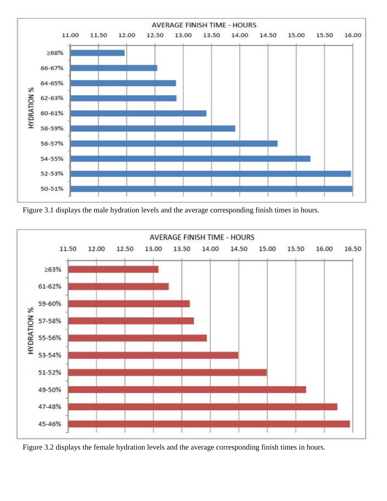

Figure 3.1 displays the male hydration levels and the average corresponding finish times in hours.



Figure 3.2 displays the female hydration levels and the average corresponding finish times in hours.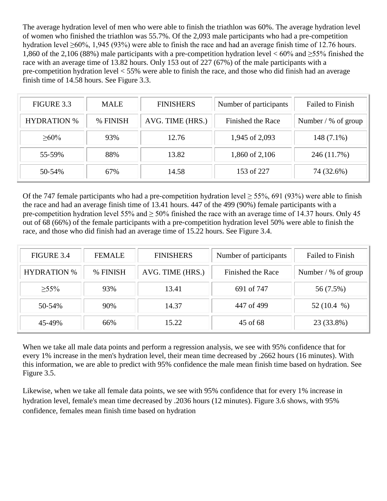The average hydration level of men who were able to finish the triathlon was 60%. The average hydration level of women who finished the triathlon was 55.7%. Of the 2,093 male participants who had a pre‐competition hydration level >60%, 1,945 (93%) were able to finish the race and had an average finish time of 12.76 hours. 1,860 of the 2,106 (88%) male participants with a pre-competition hydration level  $< 60\%$  and  $\geq$ 55% finished the race with an average time of 13.82 hours. Only 153 out of 227 (67%) of the male participants with a pre‐competition hydration level < 55% were able to finish the race, and those who did finish had an average finish time of 14.58 hours. See Figure 3.3.

| FIGURE 3.3         | <b>MALE</b> | <b>FINISHERS</b> | Number of participants | <b>Failed to Finish</b> |
|--------------------|-------------|------------------|------------------------|-------------------------|
| <b>HYDRATION %</b> | % FINISH    | AVG. TIME (HRS.) | Finished the Race      | Number $/$ % of group   |
| $>60\%$            | 93%         | 12.76            | 1,945 of 2,093         | 148 (7.1%)              |
| 55-59%             | 88%         | 13.82            | 1,860 of 2,106         | 246 (11.7%)             |
| 50-54%             | 67%         | 14.58            | 153 of 227             | 74 (32.6%)              |

Of the 747 female participants who had a pre-competition hydration level  $> 55\%$ , 691 (93%) were able to finish the race and had an average finish time of 13.41 hours. 447 of the 499 (90%) female participants with a pre‐competition hydration level 55% and ≥ 50% finished the race with an average time of 14.37 hours. Only 45 out of 68 (66%) of the female participants with a pre‐competition hydration level 50% were able to finish the race, and those who did finish had an average time of 15.22 hours. See Figure 3.4.

| FIGURE 3.4         | <b>FEMALE</b> | <b>FINISHERS</b> | Number of participants | Failed to Finish      |
|--------------------|---------------|------------------|------------------------|-----------------------|
| <b>HYDRATION %</b> | % FINISH      | AVG. TIME (HRS.) | Finished the Race      | Number $/$ % of group |
| $\geq 55\%$        | 93%           | 13.41            | 691 of 747             | 56 (7.5%)             |
| 50-54%             | 90%           | 14.37            | 447 of 499             | 52 $(10.4 %)$         |
| 45-49%             | 66%           | 15.22            | 45 of 68               | 23 (33.8%)            |

When we take all male data points and perform a regression analysis, we see with 95% confidence that for every 1% increase in the men's hydration level, their mean time decreased by .2662 hours (16 minutes). With this information, we are able to predict with 95% confidence the male mean finish time based on hydration. See Figure 3.5.

Likewise, when we take all female data points, we see with 95% confidence that for every 1% increase in hydration level, female's mean time decreased by .2036 hours (12 minutes). Figure 3.6 shows, with 95% confidence, females mean finish time based on hydration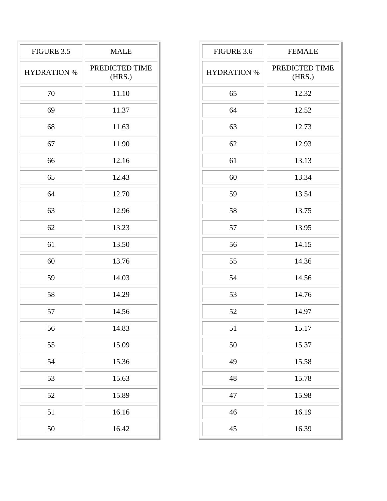| FIGURE 3.5         | <b>MALE</b>              |
|--------------------|--------------------------|
| <b>HYDRATION %</b> | PREDICTED TIME<br>(HRS.) |
| 70                 | 11.10                    |
| 69                 | 11.37                    |
| 68                 | 11.63                    |
| 67                 | 11.90                    |
| 66                 | 12.16                    |
| 65                 | 12.43                    |
| 64                 | 12.70                    |
| 63                 | 12.96                    |
| 62                 | 13.23                    |
| 61                 | 13.50                    |
| 60                 | 13.76                    |
| 59                 | 14.03                    |
| 58                 | 14.29                    |
| 57                 | 14.56                    |
| 56                 | 14.83                    |
| 55                 | 15.09                    |
| 54                 | 15.36                    |
| 53                 | 15.63                    |
| 52                 | 15.89                    |
| 51                 | 16.16                    |
| 50                 | 16.42                    |

| FIGURE 3.6         | <b>FEMALE</b>            |
|--------------------|--------------------------|
| <b>HYDRATION %</b> | PREDICTED TIME<br>(HRS.) |
| 65                 | 12.32                    |
| 64                 | 12.52                    |
| 63                 | 12.73                    |
| 62                 | 12.93                    |
| 61                 | 13.13                    |
| 60                 | 13.34                    |
| 59                 | 13.54                    |
| 58                 | 13.75                    |
| 57                 | 13.95                    |
| 56                 | 14.15                    |
| 55                 | 14.36                    |
| 54                 | 14.56                    |
| 53                 | 14.76                    |
| 52                 | 14.97                    |
| 51                 | 15.17                    |
| 50                 | 15.37                    |
| 49                 | 15.58                    |
| 48                 | 15.78                    |
| 47                 | 15.98                    |
| 46                 | 16.19                    |
| 45                 | 16.39                    |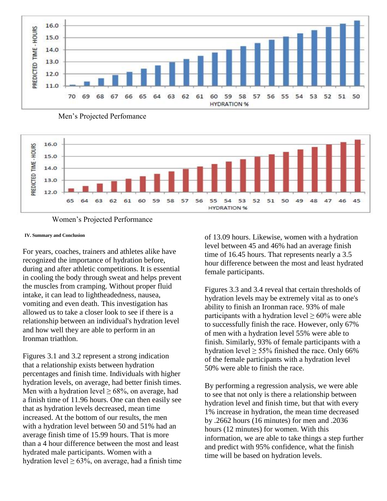

Men's Projected Perfomance





### **IV. Summary and Conclusion**

For years, coaches, trainers and athletes alike have recognized the importance of hydration before, during and after athletic competitions. It is essential in cooling the body through sweat and helps prevent the muscles from cramping. Without proper fluid intake, it can lead to lightheadedness, nausea, vomiting and even death. This investigation has allowed us to take a closer look to see if there is a relationship between an individual's hydration level and how well they are able to perform in an Ironman triathlon.

Figures 3.1 and 3.2 represent a strong indication that a relationship exists between hydration percentages and finish time. Individuals with higher hydration levels, on average, had better finish times. Men with a hydration level  $\geq 68\%$ , on average, had a finish time of 11.96 hours. One can then easily see that as hydration levels decreased, mean time increased. At the bottom of our results, the men with a hydration level between 50 and 51% had an average finish time of 15.99 hours. That is more than a 4 hour difference between the most and least hydrated male participants. Women with a hydration level  $\geq 63\%$ , on average, had a finish time of 13.09 hours. Likewise, women with a hydration level between 45 and 46% had an average finish time of 16.45 hours. That represents nearly a 3.5 hour difference between the most and least hydrated female participants.

Figures 3.3 and 3.4 reveal that certain thresholds of hydration levels may be extremely vital as to one's ability to finish an Ironman race. 93% of male participants with a hydration level  $\geq 60\%$  were able to successfully finish the race. However, only 67% of men with a hydration level 55% were able to finish. Similarly, 93% of female participants with a hydration level  $\geq 55\%$  finished the race. Only 66% of the female participants with a hydration level 50% were able to finish the race.

By performing a regression analysis, we were able to see that not only is there a relationship between hydration level and finish time, but that with every 1% increase in hydration, the mean time decreased by .2662 hours (16 minutes) for men and .2036 hours (12 minutes) for women. With this information, we are able to take things a step further and predict with 95% confidence, what the finish time will be based on hydration levels.